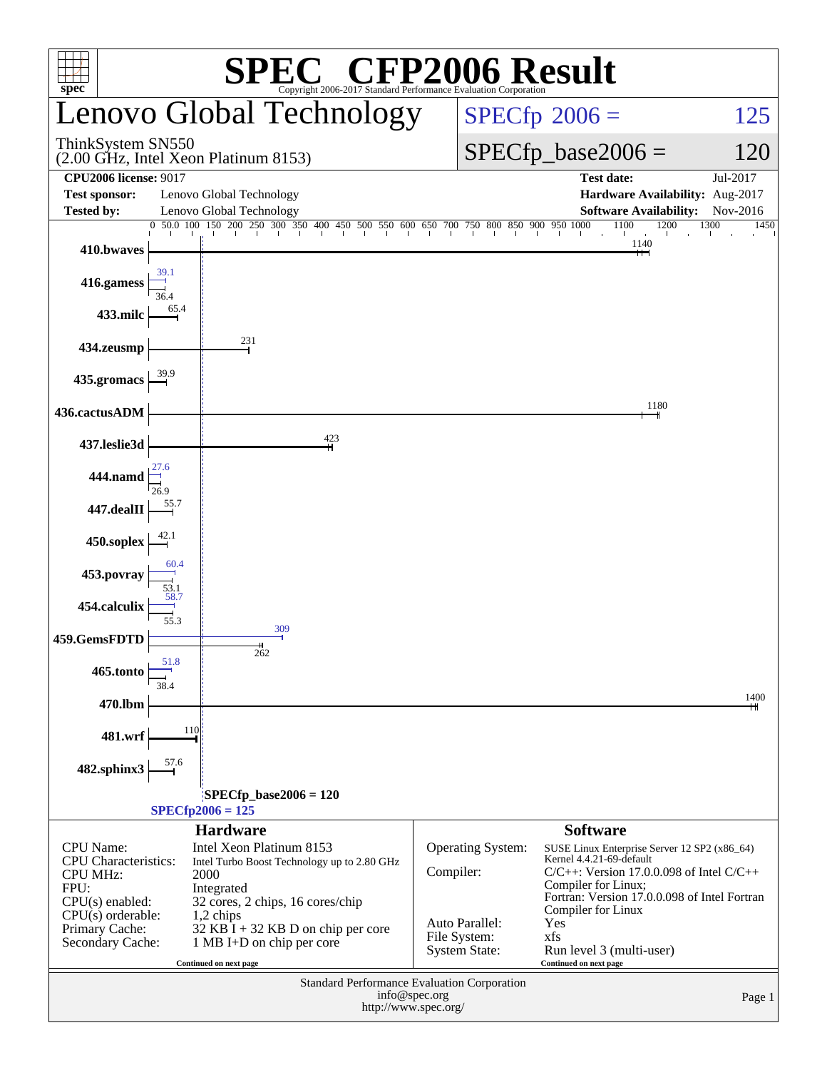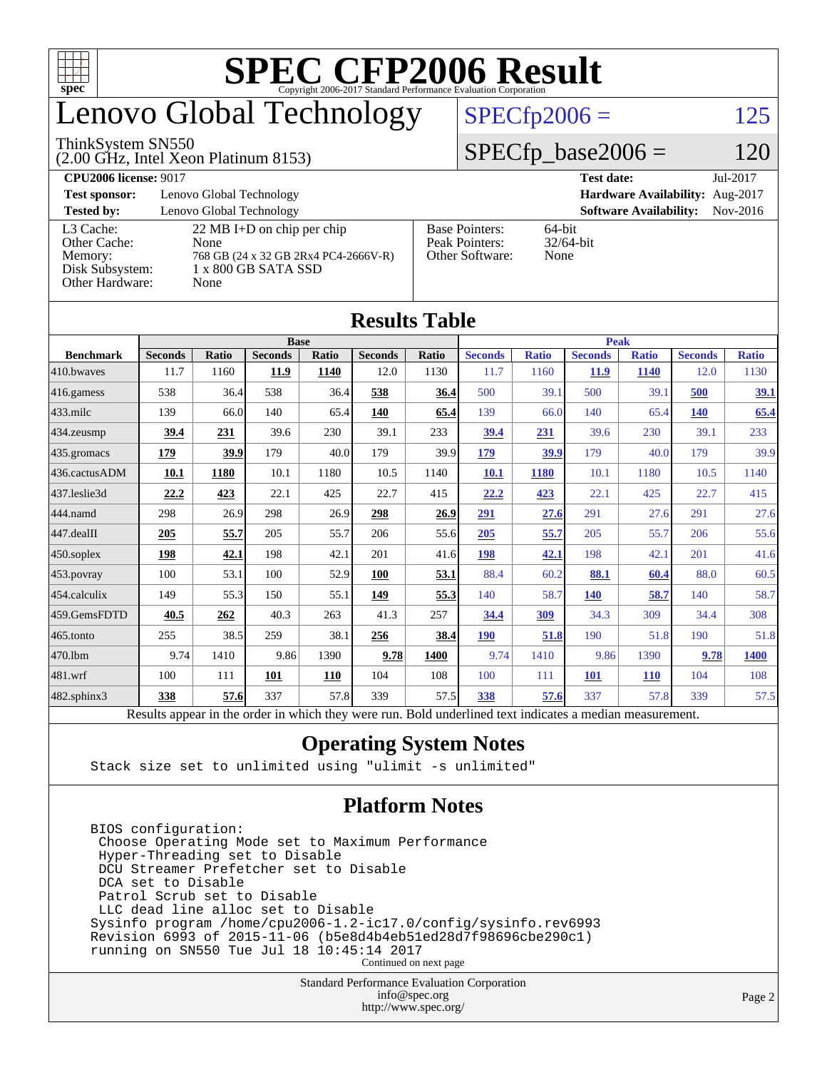

### enovo Global Technology

#### ThinkSystem SN550

(2.00 GHz, Intel Xeon Platinum 8153)

 $SPECfp2006 = 125$  $SPECfp2006 = 125$ 

#### $SPECfp\_base2006 = 120$

| <b>CPU2006 license: 9017</b> |                                      |                                 | <b>Test date:</b><br>Jul-2017             |  |  |  |  |
|------------------------------|--------------------------------------|---------------------------------|-------------------------------------------|--|--|--|--|
| <b>Test sponsor:</b>         | Lenovo Global Technology             | Hardware Availability: Aug-2017 |                                           |  |  |  |  |
| <b>Tested by:</b>            | Lenovo Global Technology             |                                 | <b>Software Availability:</b><br>Nov-2016 |  |  |  |  |
| L3 Cache:                    | $22 \text{ MB I+D}$ on chip per chip | <b>Base Pointers:</b>           | $64$ -bit                                 |  |  |  |  |
| Other Cache:                 | None                                 | Peak Pointers:                  | $32/64$ -bit                              |  |  |  |  |
| Memory:                      | 768 GB (24 x 32 GB 2Rx4 PC4-2666V-R) | Other Software:                 | None                                      |  |  |  |  |
| Disk Subsystem:              | $1 \times 800$ GB SATA SSD           |                                 |                                           |  |  |  |  |
| Other Hardware:              | None                                 |                                 |                                           |  |  |  |  |

| <b>Results Table</b>   |                                                                                                          |       |                |              |                |       |                |              |                |              |                |              |
|------------------------|----------------------------------------------------------------------------------------------------------|-------|----------------|--------------|----------------|-------|----------------|--------------|----------------|--------------|----------------|--------------|
|                        | <b>Base</b>                                                                                              |       |                |              |                |       | <b>Peak</b>    |              |                |              |                |              |
| <b>Benchmark</b>       | <b>Seconds</b>                                                                                           | Ratio | <b>Seconds</b> | <b>Ratio</b> | <b>Seconds</b> | Ratio | <b>Seconds</b> | <b>Ratio</b> | <b>Seconds</b> | <b>Ratio</b> | <b>Seconds</b> | <b>Ratio</b> |
| 410.bwayes             | 11.7                                                                                                     | 1160  | 11.9           | 1140         | 12.0           | 1130  | 11.7           | 1160         | <b>11.9</b>    | <b>1140</b>  | 12.0           | 1130         |
| 416.gamess             | 538                                                                                                      | 36.4  | 538            | 36.4         | 538            | 36.4  | 500            | 39.1         | 500            | 39.1         | 500            | 39.1         |
| $433$ .milc            | 139                                                                                                      | 66.0  | 140            | 65.4         | 140            | 65.4  | 139            | 66.0         | 140            | 65.4         | 140            | 65.4         |
| $434$ . zeusmp         | 39.4                                                                                                     | 231   | 39.6           | 230          | 39.1           | 233   | 39.4           | 231          | 39.6           | 230          | 39.1           | 233          |
| $435.$ gromacs         | 179                                                                                                      | 39.9  | 179            | 40.0         | 179            | 39.9  | 179            | 39.9         | 179            | 40.0         | 179            | 39.9         |
| 436.cactusADM          | 10.1                                                                                                     | 1180  | 10.1           | 1180         | 10.5           | 1140  | 10.1           | 1180         | 10.1           | 1180         | 10.5           | 1140         |
| 437.leslie3d           | 22.2                                                                                                     | 423   | 22.1           | 425          | 22.7           | 415   | 22.2           | 423          | 22.1           | 425          | 22.7           | 415          |
| 444.namd               | 298                                                                                                      | 26.9  | 298            | 26.9         | 298            | 26.9  | 291            | 27.6         | 291            | 27.6         | 291            | 27.6         |
| $ 447 \text{.}$ dealII | 205                                                                                                      | 55.7  | 205            | 55.7         | 206            | 55.6  | 205            | 55.7         | 205            | 55.7         | 206            | 55.6         |
| $450$ .soplex          | 198                                                                                                      | 42.1  | 198            | 42.1         | 201            | 41.6  | 198            | 42.1         | 198            | 42.1         | 201            | 41.6         |
| $453$ .povray          | 100                                                                                                      | 53.1  | 100            | 52.9         | 100            | 53.1  | 88.4           | 60.2         | 88.1           | 60.4         | 88.0           | 60.5         |
| $ 454$ .calculix       | 149                                                                                                      | 55.3  | 150            | 55.1         | 149            | 55.3  | 140            | 58.7         | <b>140</b>     | 58.7         | 140            | 58.7         |
| 459.GemsFDTD           | 40.5                                                                                                     | 262   | 40.3           | 263          | 41.3           | 257   | 34.4           | 309          | 34.3           | 309          | 34.4           | 308          |
| 465.tonto              | 255                                                                                                      | 38.5  | 259            | 38.1         | 256            | 38.4  | <b>190</b>     | 51.8         | 190            | 51.8         | 190            | 51.8         |
| 470.1bm                | 9.74                                                                                                     | 1410  | 9.86           | 1390         | 9.78           | 1400  | 9.74           | 1410         | 9.86           | 1390         | 9.78           | 1400         |
| 481.wrf                | 100                                                                                                      | 111   | 101            | 110          | 104            | 108   | 100            | 111          | 101            | <b>110</b>   | 104            | 108          |
| $482$ .sphinx $3$      | 338                                                                                                      | 57.6  | 337            | 57.8         | 339            | 57.5  | 338            | 57.6         | 337            | 57.8         | 339            | 57.5         |
|                        | Results appear in the order in which they were run. Bold underlined text indicates a median measurement. |       |                |              |                |       |                |              |                |              |                |              |

#### **[Operating System Notes](http://www.spec.org/auto/cpu2006/Docs/result-fields.html#OperatingSystemNotes)**

Stack size set to unlimited using "ulimit -s unlimited"

#### **[Platform Notes](http://www.spec.org/auto/cpu2006/Docs/result-fields.html#PlatformNotes)**

 BIOS configuration: Choose Operating Mode set to Maximum Performance Hyper-Threading set to Disable DCU Streamer Prefetcher set to Disable DCA set to Disable Patrol Scrub set to Disable LLC dead line alloc set to Disable Sysinfo program /home/cpu2006-1.2-ic17.0/config/sysinfo.rev6993 Revision 6993 of 2015-11-06 (b5e8d4b4eb51ed28d7f98696cbe290c1) running on SN550 Tue Jul 18 10:45:14 2017 Continued on next page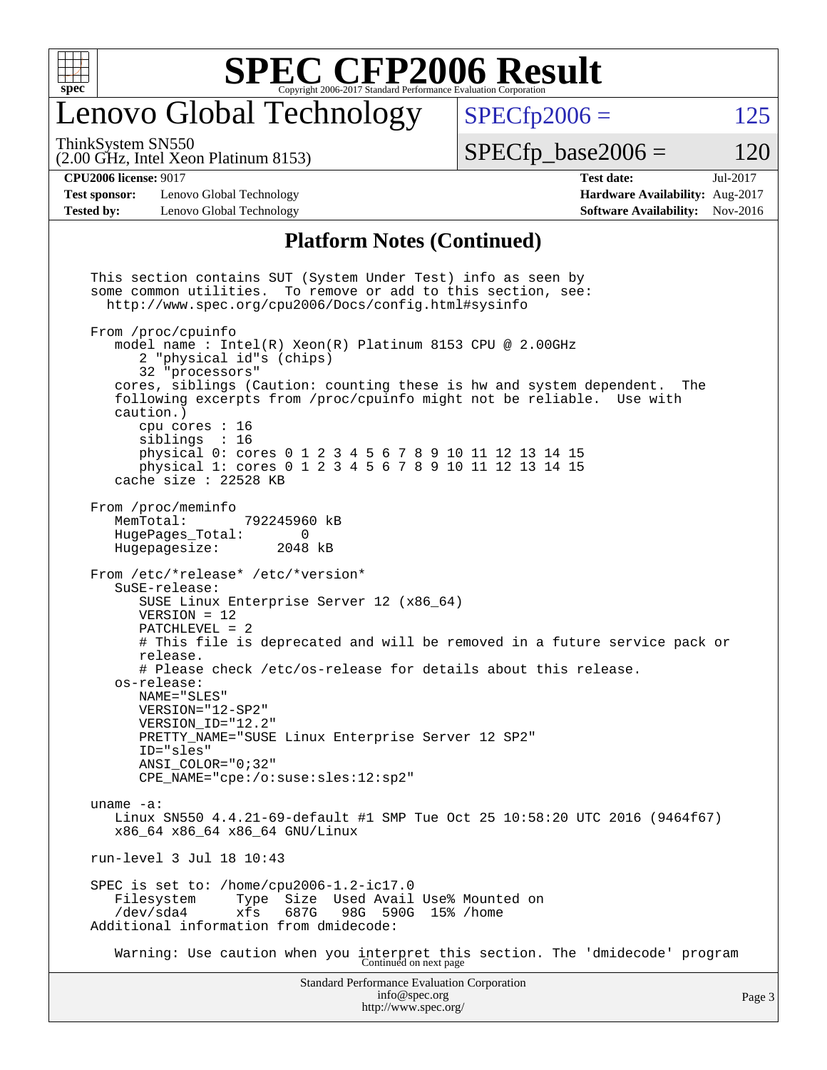

#### enovo Global Technology

ThinkSystem SN550

(2.00 GHz, Intel Xeon Platinum 8153)

 $SPECTp2006 = 125$ 

 $SPECTp\_base2006 = 120$ 

**[CPU2006 license:](http://www.spec.org/auto/cpu2006/Docs/result-fields.html#CPU2006license)** 9017 **[Test date:](http://www.spec.org/auto/cpu2006/Docs/result-fields.html#Testdate)** Jul-2017

**[Test sponsor:](http://www.spec.org/auto/cpu2006/Docs/result-fields.html#Testsponsor)** Lenovo Global Technology **[Hardware Availability:](http://www.spec.org/auto/cpu2006/Docs/result-fields.html#HardwareAvailability)** Aug-2017

#### **[Tested by:](http://www.spec.org/auto/cpu2006/Docs/result-fields.html#Testedby)** Lenovo Global Technology **[Software Availability:](http://www.spec.org/auto/cpu2006/Docs/result-fields.html#SoftwareAvailability)** Nov-2016 **[Platform Notes \(Continued\)](http://www.spec.org/auto/cpu2006/Docs/result-fields.html#PlatformNotes)**

Standard Performance Evaluation Corporation [info@spec.org](mailto:info@spec.org) This section contains SUT (System Under Test) info as seen by some common utilities. To remove or add to this section, see: <http://www.spec.org/cpu2006/Docs/config.html#sysinfo> From /proc/cpuinfo model name : Intel(R) Xeon(R) Platinum 8153 CPU @ 2.00GHz 2 "physical id"s (chips) 32 "processors" cores, siblings (Caution: counting these is hw and system dependent. The following excerpts from /proc/cpuinfo might not be reliable. Use with caution.) cpu cores : 16 siblings : 16 physical 0: cores 0 1 2 3 4 5 6 7 8 9 10 11 12 13 14 15 physical 1: cores 0 1 2 3 4 5 6 7 8 9 10 11 12 13 14 15 cache size : 22528 KB From /proc/meminfo<br>MemTotal: 792245960 kB HugePages\_Total: 0 Hugepagesize: 2048 kB From /etc/\*release\* /etc/\*version\* SuSE-release: SUSE Linux Enterprise Server 12 (x86\_64) VERSION = 12 PATCHLEVEL = 2 # This file is deprecated and will be removed in a future service pack or release. # Please check /etc/os-release for details about this release. os-release: NAME="SLES" VERSION="12-SP2" VERSION\_ID="12.2" PRETTY\_NAME="SUSE Linux Enterprise Server 12 SP2" ID="sles" ANSI\_COLOR="0;32" CPE\_NAME="cpe:/o:suse:sles:12:sp2" uname -a: Linux SN550 4.4.21-69-default #1 SMP Tue Oct 25 10:58:20 UTC 2016 (9464f67) x86\_64 x86\_64 x86\_64 GNU/Linux run-level 3 Jul 18 10:43 SPEC is set to: /home/cpu2006-1.2-ic17.0 Filesystem Type Size Used Avail Use% Mounted on<br>
/dev/sda4 xfs 687G 98G 590G 15% /home /dev/sda4 xfs 687G 98G 590G 15% /home Additional information from dmidecode: Warning: Use caution when you interpret this section. The 'dmidecode' program Continued on next page

<http://www.spec.org/>

Page 3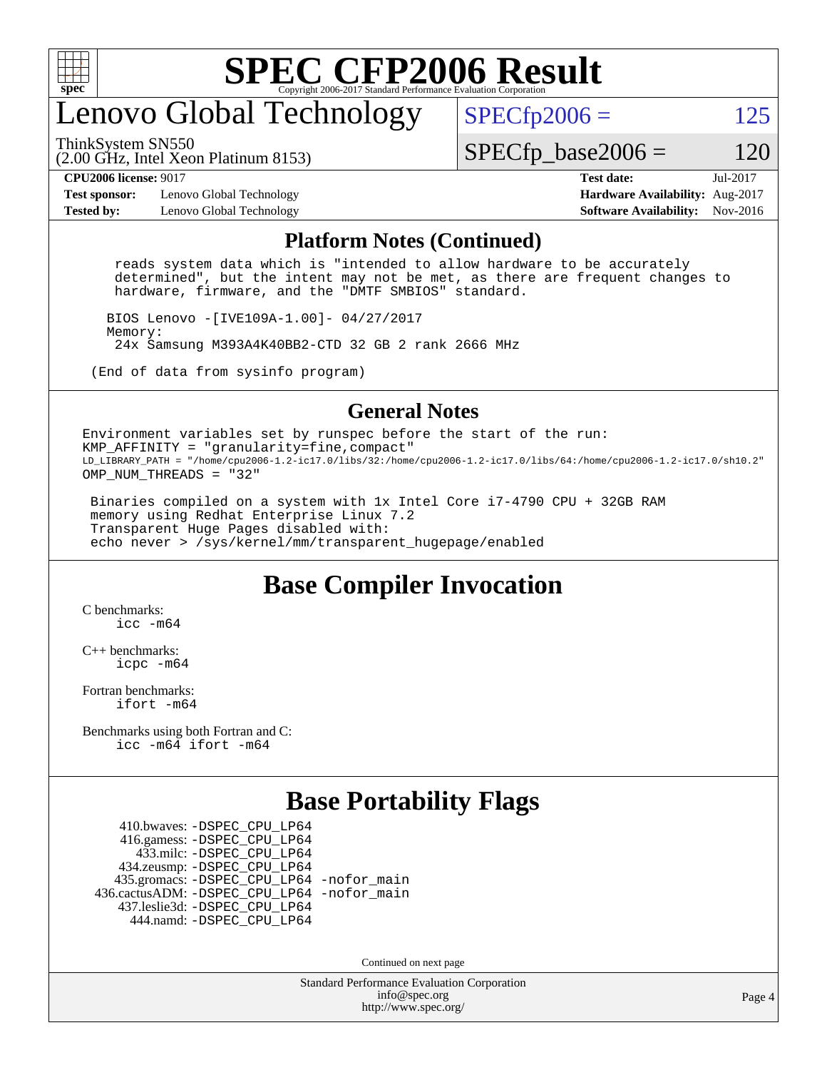

### enovo Global Technology

ThinkSystem SN550

 $SPECTp2006 = 125$ 

 $SPECTp\_base2006 = 120$ 

**[Test sponsor:](http://www.spec.org/auto/cpu2006/Docs/result-fields.html#Testsponsor)** Lenovo Global Technology **[Hardware Availability:](http://www.spec.org/auto/cpu2006/Docs/result-fields.html#HardwareAvailability)** Aug-2017 **[Tested by:](http://www.spec.org/auto/cpu2006/Docs/result-fields.html#Testedby)** Lenovo Global Technology **[Software Availability:](http://www.spec.org/auto/cpu2006/Docs/result-fields.html#SoftwareAvailability)** Nov-2016

(2.00 GHz, Intel Xeon Platinum 8153)

**[CPU2006 license:](http://www.spec.org/auto/cpu2006/Docs/result-fields.html#CPU2006license)** 9017 **[Test date:](http://www.spec.org/auto/cpu2006/Docs/result-fields.html#Testdate)** Jul-2017

#### **[Platform Notes \(Continued\)](http://www.spec.org/auto/cpu2006/Docs/result-fields.html#PlatformNotes)**

 reads system data which is "intended to allow hardware to be accurately determined", but the intent may not be met, as there are frequent changes to hardware, firmware, and the "DMTF SMBIOS" standard.

 BIOS Lenovo -[IVE109A-1.00]- 04/27/2017 Memory: 24x Samsung M393A4K40BB2-CTD 32 GB 2 rank 2666 MHz

(End of data from sysinfo program)

#### **[General Notes](http://www.spec.org/auto/cpu2006/Docs/result-fields.html#GeneralNotes)**

Environment variables set by runspec before the start of the run: KMP AFFINITY = "granularity=fine, compact" LD\_LIBRARY\_PATH = "/home/cpu2006-1.2-ic17.0/libs/32:/home/cpu2006-1.2-ic17.0/libs/64:/home/cpu2006-1.2-ic17.0/sh10.2" OMP\_NUM\_THREADS = "32"

 Binaries compiled on a system with 1x Intel Core i7-4790 CPU + 32GB RAM memory using Redhat Enterprise Linux 7.2 Transparent Huge Pages disabled with: echo never > /sys/kernel/mm/transparent\_hugepage/enabled

#### **[Base Compiler Invocation](http://www.spec.org/auto/cpu2006/Docs/result-fields.html#BaseCompilerInvocation)**

[C benchmarks](http://www.spec.org/auto/cpu2006/Docs/result-fields.html#Cbenchmarks): [icc -m64](http://www.spec.org/cpu2006/results/res2017q4/cpu2006-20170918-50065.flags.html#user_CCbase_intel_icc_64bit_bda6cc9af1fdbb0edc3795bac97ada53)

[C++ benchmarks:](http://www.spec.org/auto/cpu2006/Docs/result-fields.html#CXXbenchmarks) [icpc -m64](http://www.spec.org/cpu2006/results/res2017q4/cpu2006-20170918-50065.flags.html#user_CXXbase_intel_icpc_64bit_fc66a5337ce925472a5c54ad6a0de310)

[Fortran benchmarks](http://www.spec.org/auto/cpu2006/Docs/result-fields.html#Fortranbenchmarks): [ifort -m64](http://www.spec.org/cpu2006/results/res2017q4/cpu2006-20170918-50065.flags.html#user_FCbase_intel_ifort_64bit_ee9d0fb25645d0210d97eb0527dcc06e)

[Benchmarks using both Fortran and C](http://www.spec.org/auto/cpu2006/Docs/result-fields.html#BenchmarksusingbothFortranandC): [icc -m64](http://www.spec.org/cpu2006/results/res2017q4/cpu2006-20170918-50065.flags.html#user_CC_FCbase_intel_icc_64bit_bda6cc9af1fdbb0edc3795bac97ada53) [ifort -m64](http://www.spec.org/cpu2006/results/res2017q4/cpu2006-20170918-50065.flags.html#user_CC_FCbase_intel_ifort_64bit_ee9d0fb25645d0210d97eb0527dcc06e)

#### **[Base Portability Flags](http://www.spec.org/auto/cpu2006/Docs/result-fields.html#BasePortabilityFlags)**

 410.bwaves: [-DSPEC\\_CPU\\_LP64](http://www.spec.org/cpu2006/results/res2017q4/cpu2006-20170918-50065.flags.html#suite_basePORTABILITY410_bwaves_DSPEC_CPU_LP64) 416.gamess: [-DSPEC\\_CPU\\_LP64](http://www.spec.org/cpu2006/results/res2017q4/cpu2006-20170918-50065.flags.html#suite_basePORTABILITY416_gamess_DSPEC_CPU_LP64) 433.milc: [-DSPEC\\_CPU\\_LP64](http://www.spec.org/cpu2006/results/res2017q4/cpu2006-20170918-50065.flags.html#suite_basePORTABILITY433_milc_DSPEC_CPU_LP64) 434.zeusmp: [-DSPEC\\_CPU\\_LP64](http://www.spec.org/cpu2006/results/res2017q4/cpu2006-20170918-50065.flags.html#suite_basePORTABILITY434_zeusmp_DSPEC_CPU_LP64) 435.gromacs: [-DSPEC\\_CPU\\_LP64](http://www.spec.org/cpu2006/results/res2017q4/cpu2006-20170918-50065.flags.html#suite_basePORTABILITY435_gromacs_DSPEC_CPU_LP64) [-nofor\\_main](http://www.spec.org/cpu2006/results/res2017q4/cpu2006-20170918-50065.flags.html#user_baseLDPORTABILITY435_gromacs_f-nofor_main) 436.cactusADM: [-DSPEC\\_CPU\\_LP64](http://www.spec.org/cpu2006/results/res2017q4/cpu2006-20170918-50065.flags.html#suite_basePORTABILITY436_cactusADM_DSPEC_CPU_LP64) [-nofor\\_main](http://www.spec.org/cpu2006/results/res2017q4/cpu2006-20170918-50065.flags.html#user_baseLDPORTABILITY436_cactusADM_f-nofor_main) 437.leslie3d: [-DSPEC\\_CPU\\_LP64](http://www.spec.org/cpu2006/results/res2017q4/cpu2006-20170918-50065.flags.html#suite_basePORTABILITY437_leslie3d_DSPEC_CPU_LP64) 444.namd: [-DSPEC\\_CPU\\_LP64](http://www.spec.org/cpu2006/results/res2017q4/cpu2006-20170918-50065.flags.html#suite_basePORTABILITY444_namd_DSPEC_CPU_LP64)

Continued on next page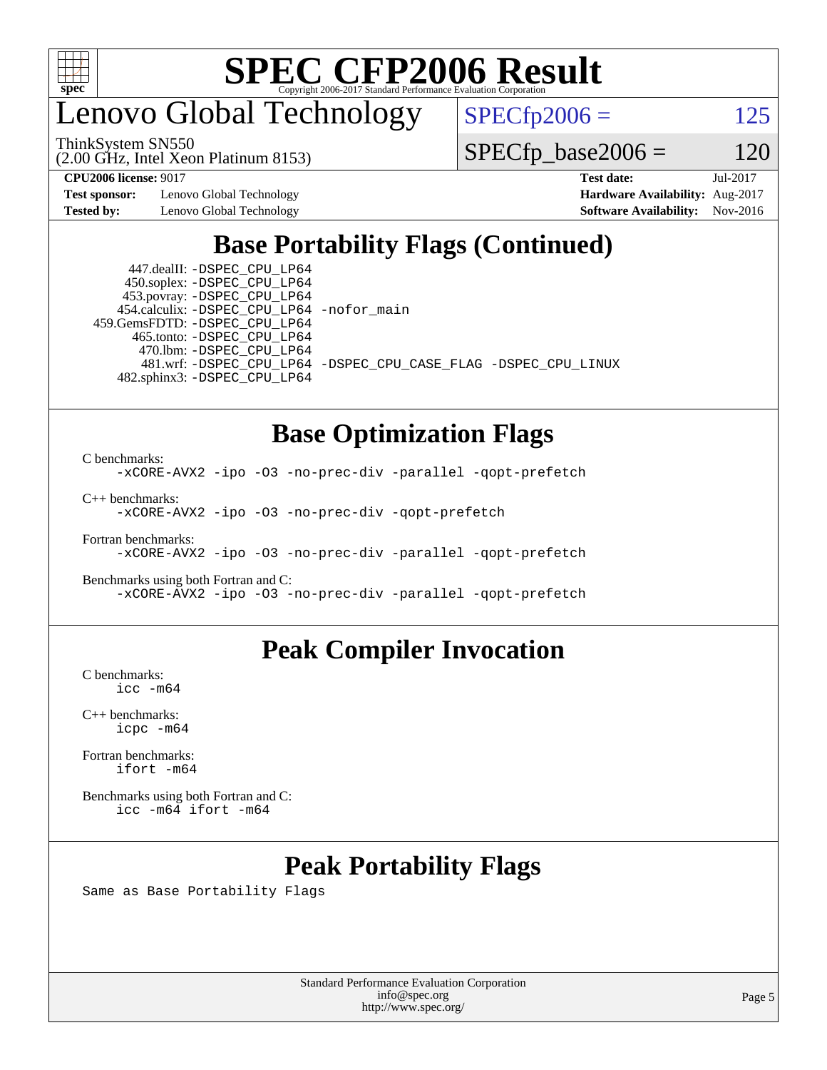

enovo Global Technology

ThinkSystem SN550

 $SPECfp2006 = 125$  $SPECfp2006 = 125$ 

(2.00 GHz, Intel Xeon Platinum 8153)

**[CPU2006 license:](http://www.spec.org/auto/cpu2006/Docs/result-fields.html#CPU2006license)** 9017 **[Test date:](http://www.spec.org/auto/cpu2006/Docs/result-fields.html#Testdate)** Jul-2017

**[Test sponsor:](http://www.spec.org/auto/cpu2006/Docs/result-fields.html#Testsponsor)** Lenovo Global Technology **[Hardware Availability:](http://www.spec.org/auto/cpu2006/Docs/result-fields.html#HardwareAvailability)** Aug-2017

 $SPECfp\_base2006 = 120$ 

**[Tested by:](http://www.spec.org/auto/cpu2006/Docs/result-fields.html#Testedby)** Lenovo Global Technology **[Software Availability:](http://www.spec.org/auto/cpu2006/Docs/result-fields.html#SoftwareAvailability)** Nov-2016

#### **[Base Portability Flags \(Continued\)](http://www.spec.org/auto/cpu2006/Docs/result-fields.html#BasePortabilityFlags)**

 447.dealII: [-DSPEC\\_CPU\\_LP64](http://www.spec.org/cpu2006/results/res2017q4/cpu2006-20170918-50065.flags.html#suite_basePORTABILITY447_dealII_DSPEC_CPU_LP64) 450.soplex: [-DSPEC\\_CPU\\_LP64](http://www.spec.org/cpu2006/results/res2017q4/cpu2006-20170918-50065.flags.html#suite_basePORTABILITY450_soplex_DSPEC_CPU_LP64) 453.povray: [-DSPEC\\_CPU\\_LP64](http://www.spec.org/cpu2006/results/res2017q4/cpu2006-20170918-50065.flags.html#suite_basePORTABILITY453_povray_DSPEC_CPU_LP64) 454.calculix: [-DSPEC\\_CPU\\_LP64](http://www.spec.org/cpu2006/results/res2017q4/cpu2006-20170918-50065.flags.html#suite_basePORTABILITY454_calculix_DSPEC_CPU_LP64) [-nofor\\_main](http://www.spec.org/cpu2006/results/res2017q4/cpu2006-20170918-50065.flags.html#user_baseLDPORTABILITY454_calculix_f-nofor_main) 459.GemsFDTD: [-DSPEC\\_CPU\\_LP64](http://www.spec.org/cpu2006/results/res2017q4/cpu2006-20170918-50065.flags.html#suite_basePORTABILITY459_GemsFDTD_DSPEC_CPU_LP64) 465.tonto: [-DSPEC\\_CPU\\_LP64](http://www.spec.org/cpu2006/results/res2017q4/cpu2006-20170918-50065.flags.html#suite_basePORTABILITY465_tonto_DSPEC_CPU_LP64) 470.lbm: [-DSPEC\\_CPU\\_LP64](http://www.spec.org/cpu2006/results/res2017q4/cpu2006-20170918-50065.flags.html#suite_basePORTABILITY470_lbm_DSPEC_CPU_LP64) 482.sphinx3: [-DSPEC\\_CPU\\_LP64](http://www.spec.org/cpu2006/results/res2017q4/cpu2006-20170918-50065.flags.html#suite_basePORTABILITY482_sphinx3_DSPEC_CPU_LP64)

481.wrf: [-DSPEC\\_CPU\\_LP64](http://www.spec.org/cpu2006/results/res2017q4/cpu2006-20170918-50065.flags.html#suite_basePORTABILITY481_wrf_DSPEC_CPU_LP64) [-DSPEC\\_CPU\\_CASE\\_FLAG](http://www.spec.org/cpu2006/results/res2017q4/cpu2006-20170918-50065.flags.html#b481.wrf_baseCPORTABILITY_DSPEC_CPU_CASE_FLAG) [-DSPEC\\_CPU\\_LINUX](http://www.spec.org/cpu2006/results/res2017q4/cpu2006-20170918-50065.flags.html#b481.wrf_baseCPORTABILITY_DSPEC_CPU_LINUX)

#### **[Base Optimization Flags](http://www.spec.org/auto/cpu2006/Docs/result-fields.html#BaseOptimizationFlags)**

[C benchmarks](http://www.spec.org/auto/cpu2006/Docs/result-fields.html#Cbenchmarks):

[-xCORE-AVX2](http://www.spec.org/cpu2006/results/res2017q4/cpu2006-20170918-50065.flags.html#user_CCbase_f-xCORE-AVX2) [-ipo](http://www.spec.org/cpu2006/results/res2017q4/cpu2006-20170918-50065.flags.html#user_CCbase_f-ipo) [-O3](http://www.spec.org/cpu2006/results/res2017q4/cpu2006-20170918-50065.flags.html#user_CCbase_f-O3) [-no-prec-div](http://www.spec.org/cpu2006/results/res2017q4/cpu2006-20170918-50065.flags.html#user_CCbase_f-no-prec-div) [-parallel](http://www.spec.org/cpu2006/results/res2017q4/cpu2006-20170918-50065.flags.html#user_CCbase_f-parallel) [-qopt-prefetch](http://www.spec.org/cpu2006/results/res2017q4/cpu2006-20170918-50065.flags.html#user_CCbase_f-qopt-prefetch)

[C++ benchmarks:](http://www.spec.org/auto/cpu2006/Docs/result-fields.html#CXXbenchmarks) [-xCORE-AVX2](http://www.spec.org/cpu2006/results/res2017q4/cpu2006-20170918-50065.flags.html#user_CXXbase_f-xCORE-AVX2) [-ipo](http://www.spec.org/cpu2006/results/res2017q4/cpu2006-20170918-50065.flags.html#user_CXXbase_f-ipo) [-O3](http://www.spec.org/cpu2006/results/res2017q4/cpu2006-20170918-50065.flags.html#user_CXXbase_f-O3) [-no-prec-div](http://www.spec.org/cpu2006/results/res2017q4/cpu2006-20170918-50065.flags.html#user_CXXbase_f-no-prec-div) [-qopt-prefetch](http://www.spec.org/cpu2006/results/res2017q4/cpu2006-20170918-50065.flags.html#user_CXXbase_f-qopt-prefetch)

[Fortran benchmarks](http://www.spec.org/auto/cpu2006/Docs/result-fields.html#Fortranbenchmarks): [-xCORE-AVX2](http://www.spec.org/cpu2006/results/res2017q4/cpu2006-20170918-50065.flags.html#user_FCbase_f-xCORE-AVX2) [-ipo](http://www.spec.org/cpu2006/results/res2017q4/cpu2006-20170918-50065.flags.html#user_FCbase_f-ipo) [-O3](http://www.spec.org/cpu2006/results/res2017q4/cpu2006-20170918-50065.flags.html#user_FCbase_f-O3) [-no-prec-div](http://www.spec.org/cpu2006/results/res2017q4/cpu2006-20170918-50065.flags.html#user_FCbase_f-no-prec-div) [-parallel](http://www.spec.org/cpu2006/results/res2017q4/cpu2006-20170918-50065.flags.html#user_FCbase_f-parallel) [-qopt-prefetch](http://www.spec.org/cpu2006/results/res2017q4/cpu2006-20170918-50065.flags.html#user_FCbase_f-qopt-prefetch)

[Benchmarks using both Fortran and C](http://www.spec.org/auto/cpu2006/Docs/result-fields.html#BenchmarksusingbothFortranandC): [-xCORE-AVX2](http://www.spec.org/cpu2006/results/res2017q4/cpu2006-20170918-50065.flags.html#user_CC_FCbase_f-xCORE-AVX2) [-ipo](http://www.spec.org/cpu2006/results/res2017q4/cpu2006-20170918-50065.flags.html#user_CC_FCbase_f-ipo) [-O3](http://www.spec.org/cpu2006/results/res2017q4/cpu2006-20170918-50065.flags.html#user_CC_FCbase_f-O3) [-no-prec-div](http://www.spec.org/cpu2006/results/res2017q4/cpu2006-20170918-50065.flags.html#user_CC_FCbase_f-no-prec-div) [-parallel](http://www.spec.org/cpu2006/results/res2017q4/cpu2006-20170918-50065.flags.html#user_CC_FCbase_f-parallel) [-qopt-prefetch](http://www.spec.org/cpu2006/results/res2017q4/cpu2006-20170918-50065.flags.html#user_CC_FCbase_f-qopt-prefetch)

#### **[Peak Compiler Invocation](http://www.spec.org/auto/cpu2006/Docs/result-fields.html#PeakCompilerInvocation)**

[C benchmarks](http://www.spec.org/auto/cpu2006/Docs/result-fields.html#Cbenchmarks): [icc -m64](http://www.spec.org/cpu2006/results/res2017q4/cpu2006-20170918-50065.flags.html#user_CCpeak_intel_icc_64bit_bda6cc9af1fdbb0edc3795bac97ada53)

[C++ benchmarks:](http://www.spec.org/auto/cpu2006/Docs/result-fields.html#CXXbenchmarks) [icpc -m64](http://www.spec.org/cpu2006/results/res2017q4/cpu2006-20170918-50065.flags.html#user_CXXpeak_intel_icpc_64bit_fc66a5337ce925472a5c54ad6a0de310)

[Fortran benchmarks](http://www.spec.org/auto/cpu2006/Docs/result-fields.html#Fortranbenchmarks): [ifort -m64](http://www.spec.org/cpu2006/results/res2017q4/cpu2006-20170918-50065.flags.html#user_FCpeak_intel_ifort_64bit_ee9d0fb25645d0210d97eb0527dcc06e)

[Benchmarks using both Fortran and C](http://www.spec.org/auto/cpu2006/Docs/result-fields.html#BenchmarksusingbothFortranandC): [icc -m64](http://www.spec.org/cpu2006/results/res2017q4/cpu2006-20170918-50065.flags.html#user_CC_FCpeak_intel_icc_64bit_bda6cc9af1fdbb0edc3795bac97ada53) [ifort -m64](http://www.spec.org/cpu2006/results/res2017q4/cpu2006-20170918-50065.flags.html#user_CC_FCpeak_intel_ifort_64bit_ee9d0fb25645d0210d97eb0527dcc06e)

#### **[Peak Portability Flags](http://www.spec.org/auto/cpu2006/Docs/result-fields.html#PeakPortabilityFlags)**

Same as Base Portability Flags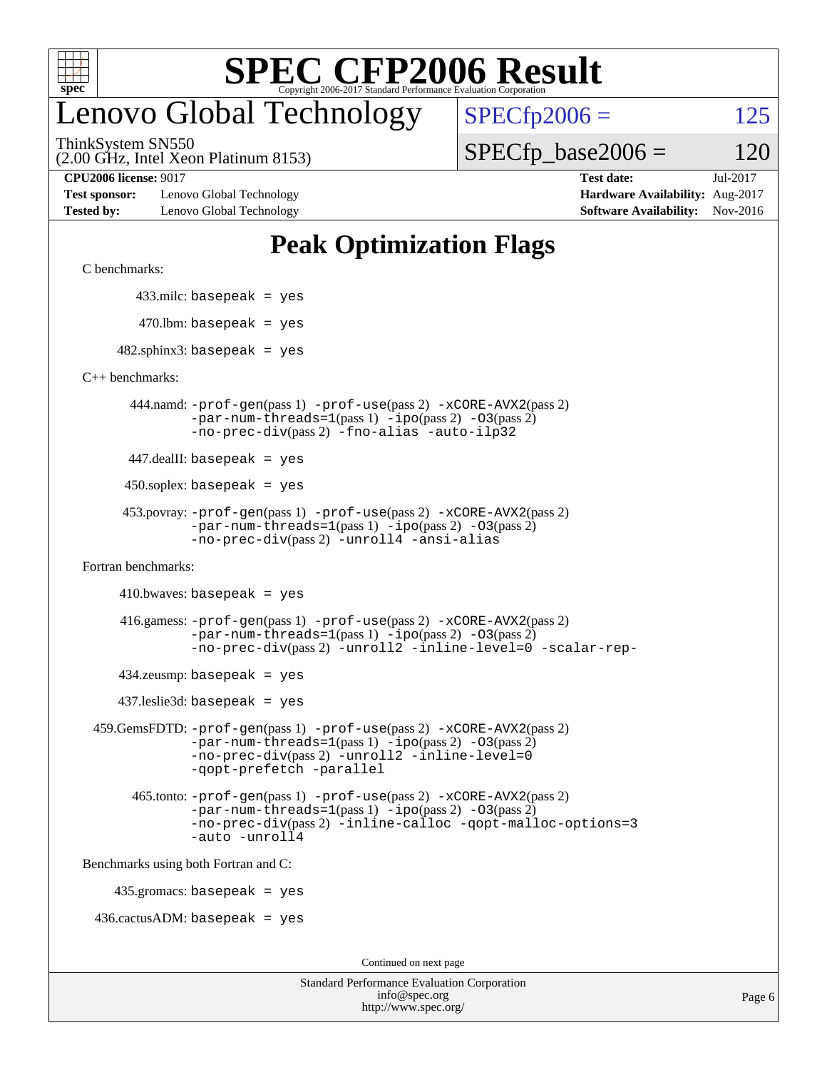

#### enovo Global Technology

ThinkSystem SN550

 $SPECfp2006 = 125$  $SPECfp2006 = 125$ 

(2.00 GHz, Intel Xeon Platinum 8153)

 $SPECTp\_base2006 = 120$ 

**[Test sponsor:](http://www.spec.org/auto/cpu2006/Docs/result-fields.html#Testsponsor)** Lenovo Global Technology **[Hardware Availability:](http://www.spec.org/auto/cpu2006/Docs/result-fields.html#HardwareAvailability)** Aug-2017 **[Tested by:](http://www.spec.org/auto/cpu2006/Docs/result-fields.html#Testedby)** Lenovo Global Technology **[Software Availability:](http://www.spec.org/auto/cpu2006/Docs/result-fields.html#SoftwareAvailability)** Nov-2016

**[CPU2006 license:](http://www.spec.org/auto/cpu2006/Docs/result-fields.html#CPU2006license)** 9017 **[Test date:](http://www.spec.org/auto/cpu2006/Docs/result-fields.html#Testdate)** Jul-2017

#### **[Peak Optimization Flags](http://www.spec.org/auto/cpu2006/Docs/result-fields.html#PeakOptimizationFlags)**

[C benchmarks](http://www.spec.org/auto/cpu2006/Docs/result-fields.html#Cbenchmarks):

433.milc: basepeak = yes

 $470$ .lbm: basepeak = yes

 $482$ .sphinx3: basepeak = yes

[C++ benchmarks:](http://www.spec.org/auto/cpu2006/Docs/result-fields.html#CXXbenchmarks)

 444.namd: [-prof-gen](http://www.spec.org/cpu2006/results/res2017q4/cpu2006-20170918-50065.flags.html#user_peakPASS1_CXXFLAGSPASS1_LDFLAGS444_namd_prof_gen_e43856698f6ca7b7e442dfd80e94a8fc)(pass 1) [-prof-use](http://www.spec.org/cpu2006/results/res2017q4/cpu2006-20170918-50065.flags.html#user_peakPASS2_CXXFLAGSPASS2_LDFLAGS444_namd_prof_use_bccf7792157ff70d64e32fe3e1250b55)(pass 2) [-xCORE-AVX2](http://www.spec.org/cpu2006/results/res2017q4/cpu2006-20170918-50065.flags.html#user_peakPASS2_CXXFLAGSPASS2_LDFLAGS444_namd_f-xCORE-AVX2)(pass 2)  $-par-num-threads=1(pass 1) -ipo(pass 2) -O3(pass 2)$  $-par-num-threads=1(pass 1) -ipo(pass 2) -O3(pass 2)$  $-par-num-threads=1(pass 1) -ipo(pass 2) -O3(pass 2)$  $-par-num-threads=1(pass 1) -ipo(pass 2) -O3(pass 2)$  $-par-num-threads=1(pass 1) -ipo(pass 2) -O3(pass 2)$  $-par-num-threads=1(pass 1) -ipo(pass 2) -O3(pass 2)$ [-no-prec-div](http://www.spec.org/cpu2006/results/res2017q4/cpu2006-20170918-50065.flags.html#user_peakPASS2_CXXFLAGSPASS2_LDFLAGS444_namd_f-no-prec-div)(pass 2) [-fno-alias](http://www.spec.org/cpu2006/results/res2017q4/cpu2006-20170918-50065.flags.html#user_peakCXXOPTIMIZEOPTIMIZE444_namd_f-no-alias_694e77f6c5a51e658e82ccff53a9e63a) [-auto-ilp32](http://www.spec.org/cpu2006/results/res2017q4/cpu2006-20170918-50065.flags.html#user_peakCXXOPTIMIZE444_namd_f-auto-ilp32)

447.dealII: basepeak = yes

 $450$ .soplex: basepeak = yes

```
 453.povray: -prof-gen(pass 1) -prof-use(pass 2) -xCORE-AVX2(pass 2)
         -par-num-threads=1-ipo-O3(pass 2)-no-prec-div(pass 2) -unroll4 -ansi-alias
```
[Fortran benchmarks](http://www.spec.org/auto/cpu2006/Docs/result-fields.html#Fortranbenchmarks):

 $410.bwaves: basepeak = yes$ 

 416.gamess: [-prof-gen](http://www.spec.org/cpu2006/results/res2017q4/cpu2006-20170918-50065.flags.html#user_peakPASS1_FFLAGSPASS1_LDFLAGS416_gamess_prof_gen_e43856698f6ca7b7e442dfd80e94a8fc)(pass 1) [-prof-use](http://www.spec.org/cpu2006/results/res2017q4/cpu2006-20170918-50065.flags.html#user_peakPASS2_FFLAGSPASS2_LDFLAGS416_gamess_prof_use_bccf7792157ff70d64e32fe3e1250b55)(pass 2) [-xCORE-AVX2](http://www.spec.org/cpu2006/results/res2017q4/cpu2006-20170918-50065.flags.html#user_peakPASS2_FFLAGSPASS2_LDFLAGS416_gamess_f-xCORE-AVX2)(pass 2)  $-par-num-threads=1(pass 1) -ipo(pass 2) -O3(pass 2)$  $-par-num-threads=1(pass 1) -ipo(pass 2) -O3(pass 2)$  $-par-num-threads=1(pass 1) -ipo(pass 2) -O3(pass 2)$  $-par-num-threads=1(pass 1) -ipo(pass 2) -O3(pass 2)$  $-par-num-threads=1(pass 1) -ipo(pass 2) -O3(pass 2)$  $-par-num-threads=1(pass 1) -ipo(pass 2) -O3(pass 2)$ [-no-prec-div](http://www.spec.org/cpu2006/results/res2017q4/cpu2006-20170918-50065.flags.html#user_peakPASS2_FFLAGSPASS2_LDFLAGS416_gamess_f-no-prec-div)(pass 2) [-unroll2](http://www.spec.org/cpu2006/results/res2017q4/cpu2006-20170918-50065.flags.html#user_peakOPTIMIZE416_gamess_f-unroll_784dae83bebfb236979b41d2422d7ec2) [-inline-level=0](http://www.spec.org/cpu2006/results/res2017q4/cpu2006-20170918-50065.flags.html#user_peakOPTIMIZE416_gamess_f-inline-level_318d07a09274ad25e8d15dbfaa68ba50) [-scalar-rep-](http://www.spec.org/cpu2006/results/res2017q4/cpu2006-20170918-50065.flags.html#user_peakOPTIMIZE416_gamess_f-disablescalarrep_abbcad04450fb118e4809c81d83c8a1d)

 $434$ .zeusmp: basepeak = yes

437.leslie3d: basepeak = yes

```
 459.GemsFDTD: -prof-gen(pass 1) -prof-use(pass 2) -xCORE-AVX2(pass 2)
            -par-num-threads=1-ipo-O3(pass 2)-no-prec-div(pass 2) -unroll2 -inline-level=0
            -qopt-prefetch -parallel
```
 465.tonto: [-prof-gen](http://www.spec.org/cpu2006/results/res2017q4/cpu2006-20170918-50065.flags.html#user_peakPASS1_FFLAGSPASS1_LDFLAGS465_tonto_prof_gen_e43856698f6ca7b7e442dfd80e94a8fc)(pass 1) [-prof-use](http://www.spec.org/cpu2006/results/res2017q4/cpu2006-20170918-50065.flags.html#user_peakPASS2_FFLAGSPASS2_LDFLAGS465_tonto_prof_use_bccf7792157ff70d64e32fe3e1250b55)(pass 2) [-xCORE-AVX2](http://www.spec.org/cpu2006/results/res2017q4/cpu2006-20170918-50065.flags.html#user_peakPASS2_FFLAGSPASS2_LDFLAGS465_tonto_f-xCORE-AVX2)(pass 2)  $-par-num-threads=1(pass 1) -ipo(pass 2) -O3(pass 2)$  $-par-num-threads=1(pass 1) -ipo(pass 2) -O3(pass 2)$  $-par-num-threads=1(pass 1) -ipo(pass 2) -O3(pass 2)$  $-par-num-threads=1(pass 1) -ipo(pass 2) -O3(pass 2)$  $-par-num-threads=1(pass 1) -ipo(pass 2) -O3(pass 2)$  $-par-num-threads=1(pass 1) -ipo(pass 2) -O3(pass 2)$ [-no-prec-div](http://www.spec.org/cpu2006/results/res2017q4/cpu2006-20170918-50065.flags.html#user_peakPASS2_FFLAGSPASS2_LDFLAGS465_tonto_f-no-prec-div)(pass 2) [-inline-calloc](http://www.spec.org/cpu2006/results/res2017q4/cpu2006-20170918-50065.flags.html#user_peakOPTIMIZE465_tonto_f-inline-calloc) [-qopt-malloc-options=3](http://www.spec.org/cpu2006/results/res2017q4/cpu2006-20170918-50065.flags.html#user_peakOPTIMIZE465_tonto_f-qopt-malloc-options_0fcb435012e78f27d57f473818e45fe4) [-auto](http://www.spec.org/cpu2006/results/res2017q4/cpu2006-20170918-50065.flags.html#user_peakOPTIMIZE465_tonto_f-auto) [-unroll4](http://www.spec.org/cpu2006/results/res2017q4/cpu2006-20170918-50065.flags.html#user_peakOPTIMIZE465_tonto_f-unroll_4e5e4ed65b7fd20bdcd365bec371b81f)

[Benchmarks using both Fortran and C](http://www.spec.org/auto/cpu2006/Docs/result-fields.html#BenchmarksusingbothFortranandC):

435.gromacs: basepeak = yes

 $436.cactusADM:basepeak = yes$ 

Continued on next page

| <b>Standard Performance Evaluation Corporation</b> |
|----------------------------------------------------|
| info@spec.org                                      |
| http://www.spec.org/                               |